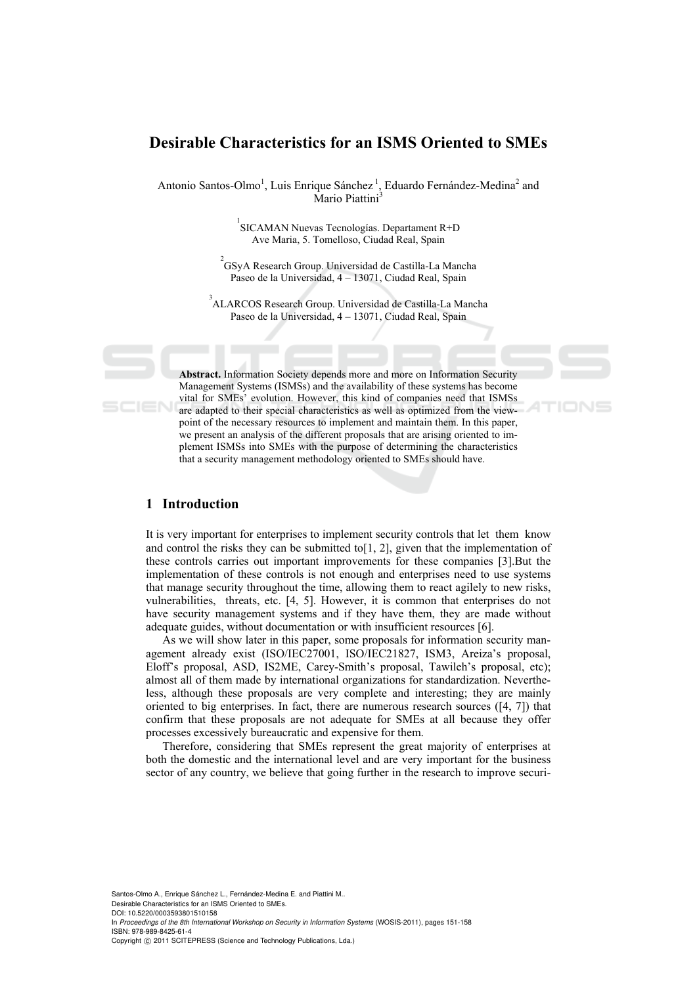# **Desirable Characteristics for an ISMS Oriented to SMEs**

Antonio Santos-Olmo<sup>1</sup>, Luis Enrique Sánchez<sup>1</sup>, Eduardo Fernández-Medina<sup>2</sup> and Mario Piattini<sup>3</sup>

> <sup>1</sup> SICAMAN Nuevas Tecnologías. Departament R+D Ave Maria, 5. Tomelloso, Ciudad Real, Spain

2 GSyA Research Group. Universidad de Castilla-La Mancha Paseo de la Universidad, 4 – 13071, Ciudad Real, Spain

3 ALARCOS Research Group. Universidad de Castilla-La Mancha Paseo de la Universidad, 4 – 13071, Ciudad Real, Spain

**Abstract.** Information Society depends more and more on Information Security Management Systems (ISMSs) and the availability of these systems has become vital for SMEs' evolution. However, this kind of companies need that ISMSs are adapted to their special characteristics as well as optimized from the viewpoint of the necessary resources to implement and maintain them. In this paper, we present an analysis of the different proposals that are arising oriented to implement ISMSs into SMEs with the purpose of determining the characteristics that a security management methodology oriented to SMEs should have.

## **1 Introduction**

It is very important for enterprises to implement security controls that let them know and control the risks they can be submitted to  $[1, 2]$ , given that the implementation of these controls carries out important improvements for these companies [3].But the implementation of these controls is not enough and enterprises need to use systems that manage security throughout the time, allowing them to react agilely to new risks, vulnerabilities, threats, etc. [4, 5]. However, it is common that enterprises do not have security management systems and if they have them, they are made without adequate guides, without documentation or with insufficient resources [6].

As we will show later in this paper, some proposals for information security management already exist (ISO/IEC27001, ISO/IEC21827, ISM3, Areiza's proposal, Eloff's proposal, ASD, IS2ME, Carey-Smith's proposal, Tawileh's proposal, etc); almost all of them made by international organizations for standardization. Nevertheless, although these proposals are very complete and interesting; they are mainly oriented to big enterprises. In fact, there are numerous research sources ([4, 7]) that confirm that these proposals are not adequate for SMEs at all because they offer processes excessively bureaucratic and expensive for them.

Therefore, considering that SMEs represent the great majority of enterprises at both the domestic and the international level and are very important for the business sector of any country, we believe that going further in the research to improve securi-

Santos-Olmo A., Enrique Sánchez L., Fernández-Medina E. and Piattini M.. Desirable Characteristics for an ISMS Oriented to SMEs. DOI: 10.5220/0003593801510158 In *Proceedings of the 8th International Workshop on Security in Information Systems* (WOSIS-2011), pages 151-158 ISBN: 978-989-8425-61-4 Copyright © 2011 SCITEPRESS (Science and Technology Publications, Lda.)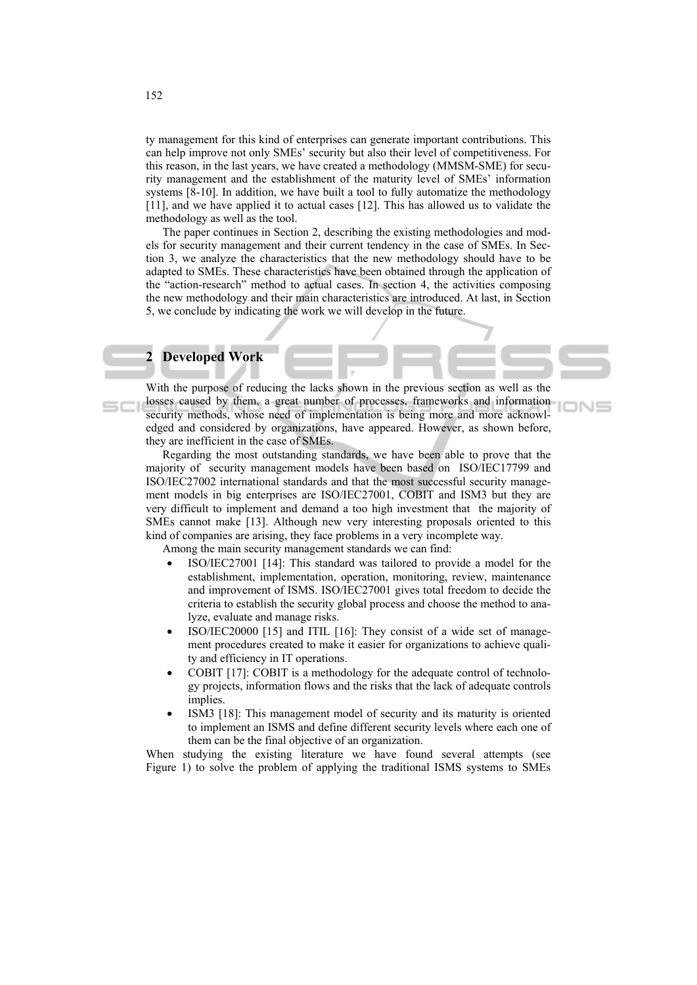ty management for this kind of enterprises can generate important contributions. This can help improve not only SMEs' security but also their level of competitiveness. For this reason, in the last years, we have created a methodology (MMSM-SME) for security management and the establishment of the maturity level of SMEs' information systems [8-10]. In addition, we have built a tool to fully automatize the methodology [11], and we have applied it to actual cases [12]. This has allowed us to validate the methodology as well as the tool.

The paper continues in Section 2, describing the existing methodologies and models for security management and their current tendency in the case of SMEs. In Section 3, we analyze the characteristics that the new methodology should have to be adapted to SMEs. These characteristics have been obtained through the application of the "action-research" method to actual cases. In section 4, the activities composing the new methodology and their main characteristics are introduced. At last, in Section 5, we conclude by indicating the work we will develop in the future.

# **2 Developed Work**

With the purpose of reducing the lacks shown in the previous section as well as the losses caused by them, a great number of processes, frameworks and information security methods, whose need of implementation is being more and more acknowledged and considered by organizations, have appeared. However, as shown before, they are inefficient in the case of SMEs.

ION

Regarding the most outstanding standards, we have been able to prove that the majority of security management models have been based on ISO/IEC17799 and ISO/IEC27002 international standards and that the most successful security management models in big enterprises are ISO/IEC27001, COBIT and ISM3 but they are very difficult to implement and demand a too high investment that the majority of SMEs cannot make [13]. Although new very interesting proposals oriented to this kind of companies are arising, they face problems in a very incomplete way.

Among the main security management standards we can find:

- ISO/IEC27001 [14]: This standard was tailored to provide a model for the establishment, implementation, operation, monitoring, review, maintenance and improvement of ISMS. ISO/IEC27001 gives total freedom to decide the criteria to establish the security global process and choose the method to analyze, evaluate and manage risks.
- ISO/IEC20000 [15] and ITIL [16]: They consist of a wide set of management procedures created to make it easier for organizations to achieve quality and efficiency in IT operations.
- COBIT [17]: COBIT is a methodology for the adequate control of technology projects, information flows and the risks that the lack of adequate controls implies.
- ISM3 [18]: This management model of security and its maturity is oriented to implement an ISMS and define different security levels where each one of them can be the final objective of an organization.

When studying the existing literature we have found several attempts (see Figure 1) to solve the problem of applying the traditional ISMS systems to SMEs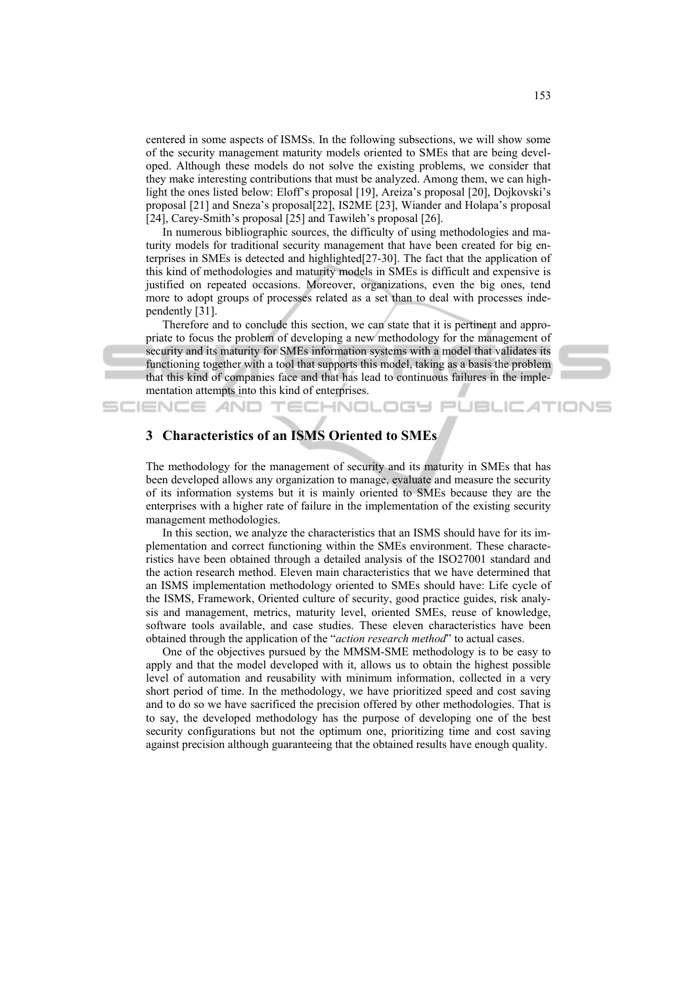centered in some aspects of ISMSs. In the following subsections, we will show some of the security management maturity models oriented to SMEs that are being developed. Although these models do not solve the existing problems, we consider that they make interesting contributions that must be analyzed. Among them, we can highlight the ones listed below: Eloff's proposal [19], Areiza's proposal [20], Dojkovski's proposal [21] and Sneza's proposal[22], IS2ME [23], Wiander and Holapa's proposal [24], Carey-Smith's proposal [25] and Tawileh's proposal [26].

In numerous bibliographic sources, the difficulty of using methodologies and maturity models for traditional security management that have been created for big enterprises in SMEs is detected and highlighted[27-30]. The fact that the application of this kind of methodologies and maturity models in SMEs is difficult and expensive is justified on repeated occasions. Moreover, organizations, even the big ones, tend more to adopt groups of processes related as a set than to deal with processes independently [31].

Therefore and to conclude this section, we can state that it is pertinent and appropriate to focus the problem of developing a new methodology for the management of security and its maturity for SMEs information systems with a model that validates its functioning together with a tool that supports this model, taking as a basis the problem that this kind of companies face and that has lead to continuous failures in the implementation attempts into this kind of enterprises.

**TECHNOLOGY PUBLICATIONS** 



## **3 Characteristics of an ISMS Oriented to SMEs**

SCIENCE *A*ND

The methodology for the management of security and its maturity in SMEs that has been developed allows any organization to manage, evaluate and measure the security of its information systems but it is mainly oriented to SMEs because they are the enterprises with a higher rate of failure in the implementation of the existing security management methodologies.

In this section, we analyze the characteristics that an ISMS should have for its implementation and correct functioning within the SMEs environment. These characteristics have been obtained through a detailed analysis of the ISO27001 standard and the action research method. Eleven main characteristics that we have determined that an ISMS implementation methodology oriented to SMEs should have: Life cycle of the ISMS, Framework, Oriented culture of security, good practice guides, risk analysis and management, metrics, maturity level, oriented SMEs, reuse of knowledge, software tools available, and case studies. These eleven characteristics have been obtained through the application of the "*action research method*" to actual cases.

One of the objectives pursued by the MMSM-SME methodology is to be easy to apply and that the model developed with it, allows us to obtain the highest possible level of automation and reusability with minimum information, collected in a very short period of time. In the methodology, we have prioritized speed and cost saving and to do so we have sacrificed the precision offered by other methodologies. That is to say, the developed methodology has the purpose of developing one of the best security configurations but not the optimum one, prioritizing time and cost saving against precision although guaranteeing that the obtained results have enough quality.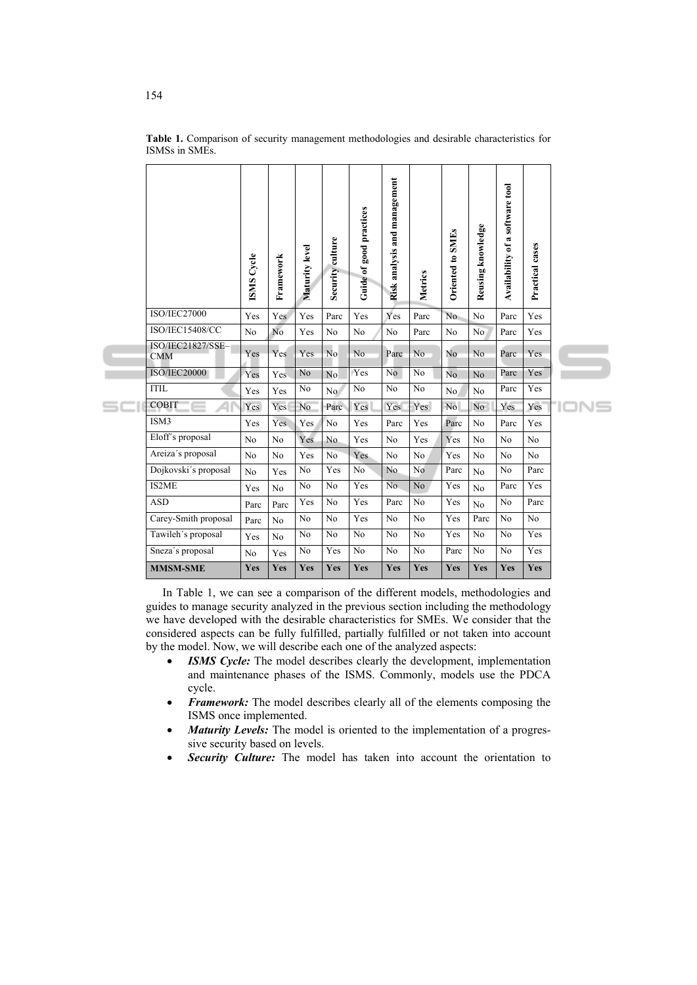|   |                                 | <b>ISMS</b> Cycle | Framework      | Maturity level | Security culture | Guide of good practices | Risk analysis and management | Metrics        | <b>Oriented to SMEs</b> | Reusing knowledge | Availability of a software tool | Practical cases |      |
|---|---------------------------------|-------------------|----------------|----------------|------------------|-------------------------|------------------------------|----------------|-------------------------|-------------------|---------------------------------|-----------------|------|
| S | <b>ISO/IEC27000</b>             | Yes               | Yes            | Yes            | Parc             | Yes                     | Yes                          | Parc           | N <sub>o</sub>          | N <sub>o</sub>    | Parc                            | Yes             |      |
|   | <b>ISO/IEC15408/CC</b>          | N <sub>0</sub>    | No             | Yes            | No               | No                      | No                           | Parc           | No                      | No.               | Parc                            | Yes             |      |
|   | ISO/IEC21827/SSE-<br><b>CMM</b> | Yes               | Yes            | Yes            | No               | No                      | Parc                         | No             | N <sub>o</sub>          | No                | Parc                            | Yes             |      |
|   | ISO/IEC20000                    | Yes               | Yes            | No             | No               | Yes                     | N <sub>0</sub>               | No             | No                      | N <sub>o</sub>    | Parc                            | Yes             |      |
|   | <b>ITIL</b>                     | Yes               | Yes            | No             | No               | No                      | No                           | No             | No.                     | No                | Parc                            | Yes             |      |
|   | <b>COBIT</b>                    | Yes               | Yes            | No             | Parc             | Yes                     | Yes                          | Yes            | No.                     | N <sub>o</sub>    | Yes                             | Yes             | 'IOI |
|   | ISM3                            | Yes               | Yes            | Yes            | No               | Yes                     | Parc                         | Yes            | Parc                    | No                | Parc                            | Yes             |      |
|   | Eloff's proposal                | No                | No             | Yes            | N <sub>o</sub>   | Yes                     | No                           | Yes            | Yes                     | No                | No                              | No              |      |
|   | Areiza's proposal               | N <sub>0</sub>    | No             | Yes            | No               | Yes                     | No                           | N <sub>0</sub> | Yes                     | N <sub>0</sub>    | No                              | No              |      |
|   | Dojkovski's proposal            | No                | Yes            | No             | Yes              | No                      | No                           | N <sub>0</sub> | Parc                    | N <sub>0</sub>    | N <sub>0</sub>                  | Parc            |      |
|   | IS2ME                           | Yes               | N <sub>o</sub> | No             | No               | Yes                     | No                           | No             | Yes                     | No                | Parc                            | Yes             |      |
|   | <b>ASD</b>                      | Parc              | Parc           | Yes            | No               | Yes                     | Parc                         | No             | Yes                     | N <sub>o</sub>    | No                              | Parc            |      |
|   | Carey-Smith proposal            | Parc              | N <sub>0</sub> | No             | No               | Yes                     | N <sub>0</sub>               | N <sub>0</sub> | Yes                     | Parc              | N <sub>0</sub>                  | No              |      |
|   | Tawileh's proposal              | Yes               | N <sub>0</sub> | No             | No               | No                      | No                           | No             | Yes                     | No                | No                              | Yes             |      |
|   | Sneza's proposal                | N <sub>0</sub>    | Yes            | No             | Yes              | N <sub>o</sub>          | N <sub>o</sub>               | No             | Parc                    | N <sub>0</sub>    | N <sub>0</sub>                  | Yes             |      |
|   | <b>MMSM-SME</b>                 | Yes               | Yes            | Yes            | Yes              | Yes                     | Yes                          | Yes            | Yes                     | Yes               | Yes                             | <b>Yes</b>      |      |

**Table 1.** Comparison of security management methodologies and desirable characteristics for ISMSs in SMEs.

In Table 1, we can see a comparison of the different models, methodologies and guides to manage security analyzed in the previous section including the methodology we have developed with the desirable characteristics for SMEs. We consider that the considered aspects can be fully fulfilled, partially fulfilled or not taken into account by the model. Now, we will describe each one of the analyzed aspects:

- **ISMS Cycle:** The model describes clearly the development, implementation and maintenance phases of the ISMS. Commonly, models use the PDCA cycle.
- *Framework:* The model describes clearly all of the elements composing the ISMS once implemented.
- *Maturity Levels:* The model is oriented to the implementation of a progressive security based on levels.
- **Security Culture:** The model has taken into account the orientation to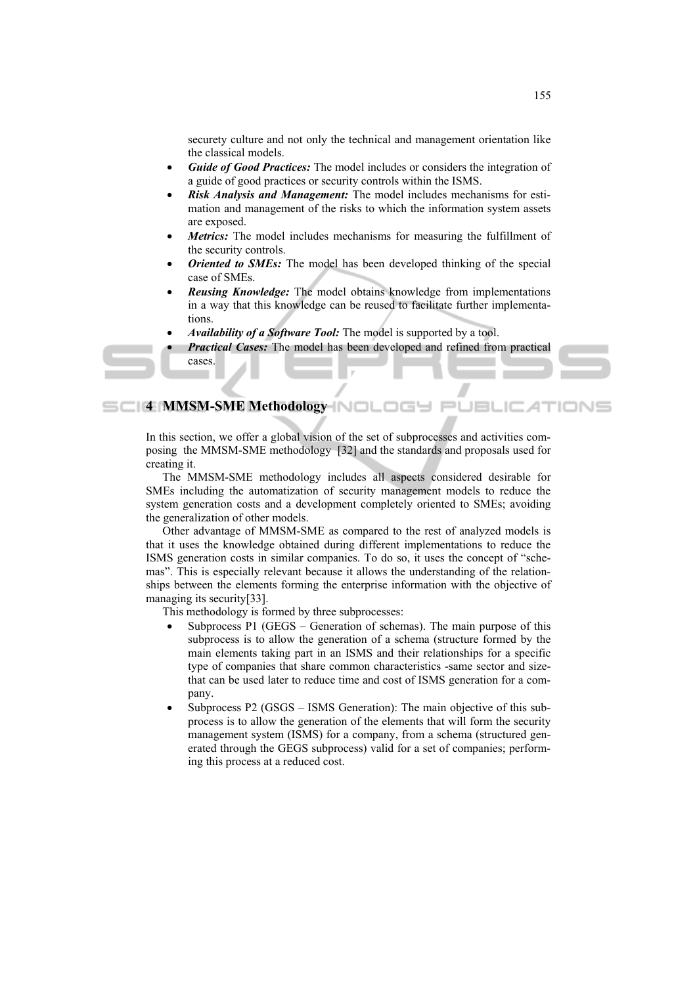securety culture and not only the technical and management orientation like the classical models.

- *Guide of Good Practices:* The model includes or considers the integration of a guide of good practices or security controls within the ISMS.
- *Risk Analysis and Management:* The model includes mechanisms for estimation and management of the risks to which the information system assets are exposed.
- Metrics: The model includes mechanisms for measuring the fulfillment of the security controls.
- *Oriented to SMEs:* The model has been developed thinking of the special case of SMEs.
- *Reusing Knowledge:* The model obtains knowledge from implementations in a way that this knowledge can be reused to facilitate further implementations.
- *Availability of a Software Tool:* The model is supported by a tool.
- *Practical Cases:* The model has been developed and refined from practical cases.

**4 MMSM-SME Methodology** 

In this section, we offer a global vision of the set of subprocesses and activities composing the MMSM-SME methodology [32] and the standards and proposals used for creating it.

The MMSM-SME methodology includes all aspects considered desirable for SMEs including the automatization of security management models to reduce the system generation costs and a development completely oriented to SMEs; avoiding the generalization of other models.

Other advantage of MMSM-SME as compared to the rest of analyzed models is that it uses the knowledge obtained during different implementations to reduce the ISMS generation costs in similar companies. To do so, it uses the concept of "schemas". This is especially relevant because it allows the understanding of the relationships between the elements forming the enterprise information with the objective of managing its security[33].

This methodology is formed by three subprocesses:

- Subprocess P1 (GEGS Generation of schemas). The main purpose of this subprocess is to allow the generation of a schema (structure formed by the main elements taking part in an ISMS and their relationships for a specific type of companies that share common characteristics -same sector and sizethat can be used later to reduce time and cost of ISMS generation for a company.
- Subprocess P2 (GSGS ISMS Generation): The main objective of this subprocess is to allow the generation of the elements that will form the security management system (ISMS) for a company, from a schema (structured generated through the GEGS subprocess) valid for a set of companies; performing this process at a reduced cost.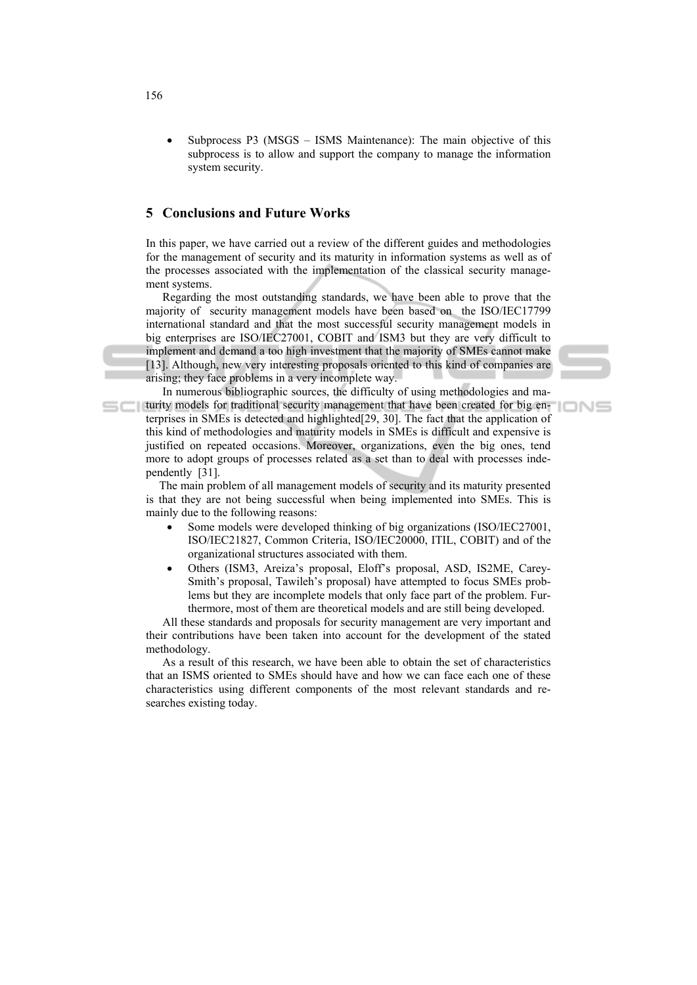Subprocess P3 (MSGS – ISMS Maintenance): The main objective of this subprocess is to allow and support the company to manage the information system security.

## **5 Conclusions and Future Works**

In this paper, we have carried out a review of the different guides and methodologies for the management of security and its maturity in information systems as well as of the processes associated with the implementation of the classical security management systems.

Regarding the most outstanding standards, we have been able to prove that the majority of security management models have been based on the ISO/IEC17799 international standard and that the most successful security management models in big enterprises are ISO/IEC27001, COBIT and ISM3 but they are very difficult to implement and demand a too high investment that the majority of SMEs cannot make [13]. Although, new very interesting proposals oriented to this kind of companies are arising; they face problems in a very incomplete way.

In numerous bibliographic sources, the difficulty of using methodologies and maturity models for traditional security management that have been created for big enterprises in SMEs is detected and highlighted[29, 30]. The fact that the application of this kind of methodologies and maturity models in SMEs is difficult and expensive is justified on repeated occasions. Moreover, organizations, even the big ones, tend more to adopt groups of processes related as a set than to deal with processes independently [31].

The main problem of all management models of security and its maturity presented is that they are not being successful when being implemented into SMEs. This is mainly due to the following reasons:

- Some models were developed thinking of big organizations (ISO/IEC27001, ISO/IEC21827, Common Criteria, ISO/IEC20000, ITIL, COBIT) and of the organizational structures associated with them.
- Others (ISM3, Areiza's proposal, Eloff's proposal, ASD, IS2ME, Carey-Smith's proposal, Tawileh's proposal) have attempted to focus SMEs problems but they are incomplete models that only face part of the problem. Furthermore, most of them are theoretical models and are still being developed.

All these standards and proposals for security management are very important and their contributions have been taken into account for the development of the stated methodology.

As a result of this research, we have been able to obtain the set of characteristics that an ISMS oriented to SMEs should have and how we can face each one of these characteristics using different components of the most relevant standards and researches existing today.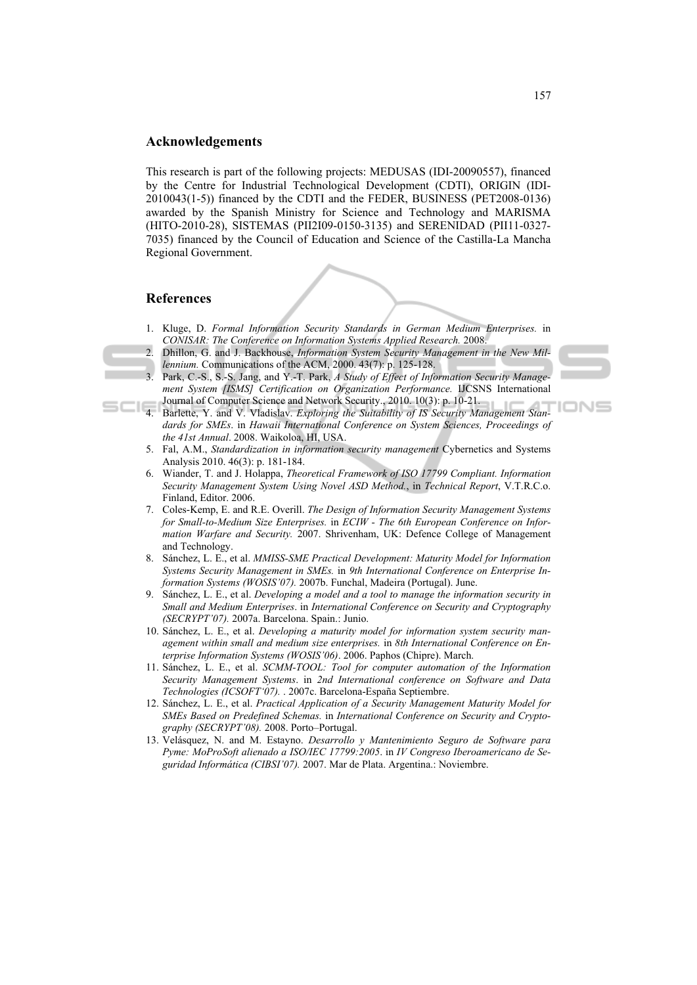### **Acknowledgements**

This research is part of the following projects: MEDUSAS (IDI-20090557), financed by the Centre for Industrial Technological Development (CDTI), ORIGIN (IDI-2010043(1-5)) financed by the CDTI and the FEDER, BUSINESS (PET2008-0136) awarded by the Spanish Ministry for Science and Technology and MARISMA (HITO-2010-28), SISTEMAS (PII2I09-0150-3135) and SERENIDAD (PII11-0327- 7035) financed by the Council of Education and Science of the Castilla-La Mancha Regional Government.

#### **References**

- 1. Kluge, D. *Formal Information Security Standards in German Medium Enterprises.* in *CONISAR: The Conference on Information Systems Applied Research.* 2008.
- 2. Dhillon, G. and J. Backhouse, *Information System Security Management in the New Millennium.* Communications of the ACM, 2000. 43(7): p. 125-128.
- 3. Park, C.-S., S.-S. Jang, and Y.-T. Park, *A Study of Effect of Information Security Management System [ISMS] Certification on Organization Performance.* IJCSNS International Journal of Computer Science and Network Security., 2010. 10(3): p. 10-21.
- 4. Barlette, Y. and V. Vladislav. *Exploring the Suitability of IS Security Management Stan-*IONS *dards for SMEs*. in *Hawaii International Conference on System Sciences, Proceedings of the 41st Annual*. 2008. Waikoloa, HI, USA.
	- 5. Fal, A.M., *Standardization in information security management* Cybernetics and Systems Analysis 2010. 46(3): p. 181-184.
	- 6. Wiander, T. and J. Holappa, *Theoretical Framework of ISO 17799 Compliant. Information Security Management System Using Novel ASD Method.*, in *Technical Report*, V.T.R.C.o. Finland, Editor. 2006.
	- 7. Coles-Kemp, E. and R.E. Overill. *The Design of Information Security Management Systems for Small-to-Medium Size Enterprises.* in *ECIW - The 6th European Conference on Information Warfare and Security.* 2007. Shrivenham, UK: Defence College of Management and Technology.
	- 8. Sánchez, L. E., et al. *MMISS-SME Practical Development: Maturity Model for Information Systems Security Management in SMEs.* in *9th International Conference on Enterprise Information Systems (WOSIS'07).* 2007b. Funchal, Madeira (Portugal). June.
	- 9. Sánchez, L. E., et al. *Developing a model and a tool to manage the information security in Small and Medium Enterprises*. in *International Conference on Security and Cryptography (SECRYPT'07).* 2007a. Barcelona. Spain.: Junio.
	- 10. Sánchez, L. E., et al. *Developing a maturity model for information system security management within small and medium size enterprises.* in *8th International Conference on Enterprise Information Systems (WOSIS'06)*. 2006. Paphos (Chipre). March.
	- 11. Sánchez, L. E., et al. *SCMM-TOOL: Tool for computer automation of the Information Security Management Systems*. in *2nd International conference on Software and Data Technologies (ICSOFT'07).* . 2007c. Barcelona-España Septiembre.
	- 12. Sánchez, L. E., et al. *Practical Application of a Security Management Maturity Model for SMEs Based on Predefined Schemas.* in *International Conference on Security and Cryptography (SECRYPT'08).* 2008. Porto–Portugal.
	- 13. Velásquez, N. and M. Estayno. *Desarrollo y Mantenimiento Seguro de Software para Pyme: MoProSoft alienado a ISO/IEC 17799:2005*. in *IV Congreso Iberoamericano de Seguridad Informática (CIBSI'07).* 2007. Mar de Plata. Argentina.: Noviembre.